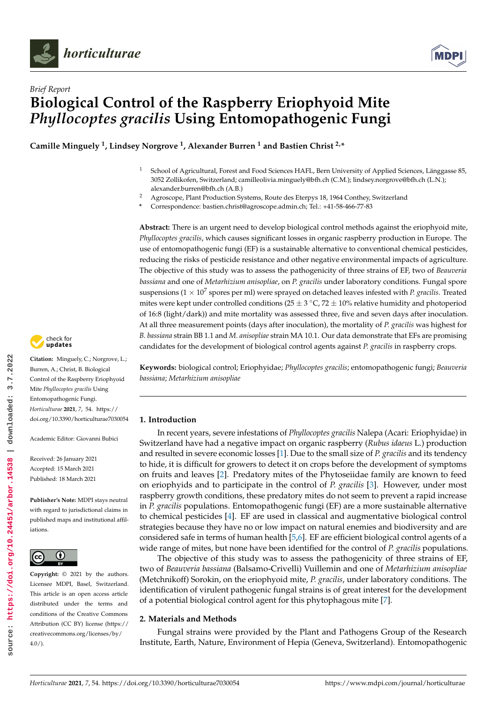



# *Brief Report* **Biological Control of the Raspberry Eriophyoid Mite** *Phyllocoptes gracilis* **Using Entomopathogenic Fungi**

**Camille Minguely <sup>1</sup> , Lindsey Norgrove <sup>1</sup> , Alexander Burren <sup>1</sup> and Bastien Christ 2,\***

- <sup>1</sup> School of Agricultural, Forest and Food Sciences HAFL, Bern University of Applied Sciences, Länggasse 85, 3052 Zollikofen, Switzerland; camilleolivia.minguely@bfh.ch (C.M.); lindsey.norgrove@bfh.ch (L.N.); alexander.burren@bfh.ch (A.B.)
- <sup>2</sup> Agroscope, Plant Production Systems, Route des Eterpys 18, 1964 Conthey, Switzerland
- **\*** Correspondence: bastien.christ@agroscope.admin.ch; Tel.: +41-58-466-77-83

**Abstract:** There is an urgent need to develop biological control methods against the eriophyoid mite, *Phyllocoptes gracilis*, which causes significant losses in organic raspberry production in Europe. The use of entomopathogenic fungi (EF) is a sustainable alternative to conventional chemical pesticides, reducing the risks of pesticide resistance and other negative environmental impacts of agriculture. The objective of this study was to assess the pathogenicity of three strains of EF, two of *Beauveria bassiana* and one of *Metarhizium anisopliae*, on *P. gracilis* under laboratory conditions. Fungal spore suspensions ( $1 \times 10^7$  spores per ml) were sprayed on detached leaves infested with *P. gracilis*. Treated mites were kept under controlled conditions ( $25 \pm 3$  °C,  $72 \pm 10$ % relative humidity and photoperiod of 16:8 (light/dark)) and mite mortality was assessed three, five and seven days after inoculation. At all three measurement points (days after inoculation), the mortality of *P. gracilis* was highest for *B. bassiana* strain BB 1.1 and *M. anisopliae* strain MA 10.1. Our data demonstrate that EFs are promising candidates for the development of biological control agents against *P. gracilis* in raspberry crops.

**Keywords:** biological control; Eriophyidae; *Phyllocoptes gracilis*; entomopathogenic fungi; *Beauveria bassiana*; *Metarhizium anisopliae*

## **1. Introduction**

In recent years, severe infestations of *Phyllocoptes gracilis* Nalepa (Acari: Eriophyidae) in Switzerland have had a negative impact on organic raspberry (*Rubus idaeus* L.) production and resulted in severe economic losses [1]. Due to the small size of *P. gracilis* and its tendency to hide, it is difficult for growers to detect it on crops before the development of symptoms on fruits and leaves [2]. Predatory mites of the Phytoseiidae family are known to feed on eriophyids and to participate in the control of *P. gracilis* [3]. However, under most raspberry growth conditions, these predatory mites do not seem to prevent a rapid increase in *P. gracilis* populations. Entomopathogenic fungi (EF) are a more sustainable alternative to chemical pesticides [4]. EF are used in classical and augmentative biological control strategies because they have no or low impact on natural enemies and biodiversity and are considered safe in terms of human health [5,6]. EF are efficient biological control agents of a wide range of mites, but none have been identified for the control of *P. gracilis* populations.

The objective of this study was to assess the pathogenicity of three strains of EF, two of *Beauveria bassiana* (Balsamo-Crivelli) Vuillemin and one of *Metarhizium anisopliae* (Metchnikoff) Sorokin, on the eriophyoid mite, *P. gracilis*, under laboratory conditions. The identification of virulent pathogenic fungal strains is of great interest for the development of a potential biological control agent for this phytophagous mite [7].

## **2. Materials and Methods**

Fungal strains were provided by the Plant and Pathogens Group of the Research Institute, Earth, Nature, Environment of Hepia (Geneva, Switzerland). Entomopathogenic



**Citation:** Minguely, C.; Norgrove, L.; Burren, A.; Christ, B. Biological Control of the Raspberry Eriophyoid Mite *Phyllocoptes gracilis* Using Entomopathogenic Fungi. *Horticulturae* **2021**, *7*, 54. [https://](https://doi.org/10.3390/horticulturae7030054) [doi.org/10.3390/horticulturae7030054](https://doi.org/10.3390/horticulturae7030054)

Academic Editor: Giovanni Bubici

Received: 26 January 2021 Accepted: 15 March 2021 Published: 18 March 2021

**Publisher's Note:** MDPI stays neutral with regard to jurisdictional claims in published maps and institutional affiliations.



**Copyright:** © 2021 by the authors. Licensee MDPI, Basel, Switzerland. This article is an open access article distributed under the terms and conditions of the Creative Commons Attribution (CC BY) license (https:/[/](https://creativecommons.org/licenses/by/4.0/) [creativecommons.org/licenses/by/](https://creativecommons.org/licenses/by/4.0/) 4.0/).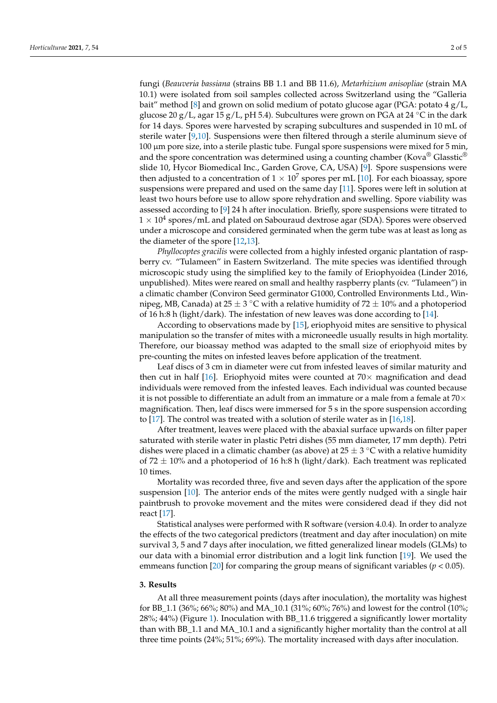fungi (*Beauveria bassiana* (strains BB 1.1 and BB 11.6), *Metarhizium anisopliae* (strain MA 10.1) were isolated from soil samples collected across Switzerland using the "Galleria bait" method [8] and grown on solid medium of potato glucose agar (PGA: potato  $4 g/L$ , glucose 20 g/L, agar 15 g/L, pH 5.4). Subcultures were grown on PGA at 24 °C in the dark for 14 days. Spores were harvested by scraping subcultures and suspended in 10 mL of sterile water [9,10]. Suspensions were then filtered through a sterile aluminum sieve of 100 µm pore size, into a sterile plastic tube. Fungal spore suspensions were mixed for 5 min, and the spore concentration was determined using a counting chamber (Kova<sup>®</sup> Glasstic<sup>®</sup>) slide 10, Hycor Biomedical Inc., Garden Grove, CA, USA) [9]. Spore suspensions were then adjusted to a concentration of  $1\times10^7$  spores per mL [10]. For each bioassay, spore suspensions were prepared and used on the same day [11]. Spores were left in solution at least two hours before use to allow spore rehydration and swelling. Spore viability was assessed according to [9] 24 h after inoculation. Briefly, spore suspensions were titrated to  $1 \times 10^4$  spores/mL and plated on Sabouraud dextrose agar (SDA). Spores were observed under a microscope and considered germinated when the germ tube was at least as long as the diameter of the spore [12,13].

*Phyllocoptes gracilis* were collected from a highly infested organic plantation of raspberry cv. "Tulameen" in Eastern Switzerland. The mite species was identified through microscopic study using the simplified key to the family of Eriophyoidea (Linder 2016, unpublished). Mites were reared on small and healthy raspberry plants (cv. "Tulameen") in a climatic chamber (Conviron Seed germinator G1000, Controlled Environments Ltd., Winnipeg, MB, Canada) at 25  $\pm$  3 °C with a relative humidity of 72  $\pm$  10% and a photoperiod of 16 h:8 h (light/dark). The infestation of new leaves was done according to [14].

According to observations made by [15], eriophyoid mites are sensitive to physical manipulation so the transfer of mites with a microneedle usually results in high mortality. Therefore, our bioassay method was adapted to the small size of eriophyoid mites by pre-counting the mites on infested leaves before application of the treatment.

Leaf discs of 3 cm in diameter were cut from infested leaves of similar maturity and then cut in half [16]. Eriophyoid mites were counted at  $70\times$  magnification and dead individuals were removed from the infested leaves. Each individual was counted because it is not possible to differentiate an adult from an immature or a male from a female at  $70\times$ magnification. Then, leaf discs were immersed for 5 s in the spore suspension according to [17]. The control was treated with a solution of sterile water as in [16,18].

After treatment, leaves were placed with the abaxial surface upwards on filter paper saturated with sterile water in plastic Petri dishes (55 mm diameter, 17 mm depth). Petri dishes were placed in a climatic chamber (as above) at 25  $\pm$  3 °C with a relative humidity of  $72 \pm 10\%$  and a photoperiod of 16 h:8 h (light/dark). Each treatment was replicated 10 times.

Mortality was recorded three, five and seven days after the application of the spore suspension [10]. The anterior ends of the mites were gently nudged with a single hair paintbrush to provoke movement and the mites were considered dead if they did not react [17].

Statistical analyses were performed with R software (version 4.0.4). In order to analyze the effects of the two categorical predictors (treatment and day after inoculation) on mite survival 3, 5 and 7 days after inoculation, we fitted generalized linear models (GLMs) to our data with a binomial error distribution and a logit link function [19]. We used the emmeans function [20] for comparing the group means of significant variables ( $p < 0.05$ ).

#### **3. Results**

At all three measurement points (days after inoculation), the mortality was highest for BB\_1.1 (36%; 66%; 80%) and MA\_10.1 (31%; 60%; 76%) and lowest for the control (10%; 28%; 44%) (Figure 1). Inoculation with BB\_11.6 triggered a significantly lower mortality than with BB\_1.1 and MA\_10.1 and a significantly higher mortality than the control at all three time points (24%; 51%; 69%). The mortality increased with days after inoculation.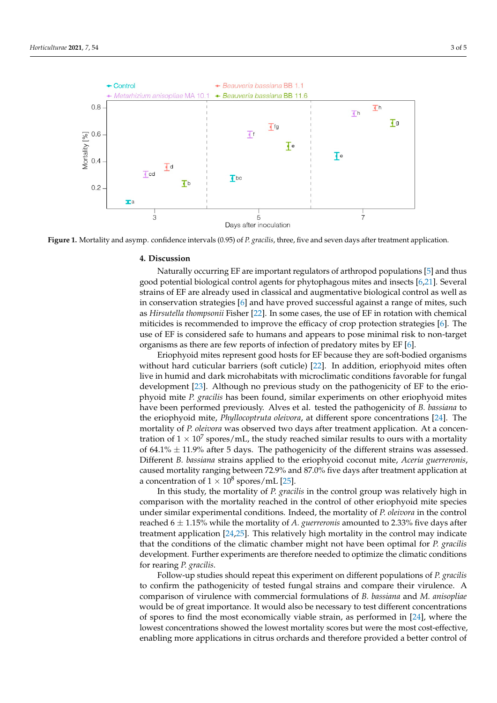

Figure 1. Mortality and asymp. confidence intervals (0.95) of P. gracilis, three, five and seven days after treatment application.

#### **4. Discussion**

Naturally occurring EF are important regulators of arthropod populations [5] and thus good potential biological control agents for phytophagous mites and insects  $[6,21]$ . Several good potential biological control agents for phytophagous mites and insects  $[6,21]$ . Several strains of EF are already used in classical and augmentative biological control as well as in conservation strategies [6] and have proved successful against a range of mites, such as *Hirsutella thompsonii* Fisher [22]. In some cases, the use of EF in rotation with chemical miticides is recommended to improve the efficacy of crop protection strategies [6]. The use of EF is considered safe to humans and appears to pose minimal risk to non-target organisms as there are few reports of infection of predatory mites by  $EF$  [6].

than  $\mathbb{R}$  and  $\mathbb{R}$  and  $\mathbb{R}$  and  $\mathbb{R}$  and a significantly higher mortality than the control at all

Eriophyoid mites represent good hosts for EF because they are soft-bodied organisms without hard cuticular barriers (soft cuticle) [22]. In addition, eriophyoid mites often live in humid and dark microhabitats with microclimatic conditions favorable for fungal development [23]. Although no previous study on the pathogenicity of EF to the eriophyoid mite *P. gracilis* has been found, similar experiments on other eriophyoid mites have been performed previously. Alves et al. tested the pathogenicity of *B. bassiana* to the eriophyoid mite, *Phyllocoptruta oleivora*, at different spore concentrations [24]. The mortality of *P. oleivora* was observed two days after treatment application. At a concentration of  $1 \times 10^7$  spores/mL, the study reached similar results to ours with a mortality of 64.1%  $\pm$  11.9% after 5 days. The pathogenicity of the different strains was assessed. Different *B. bassiana* strains applied to the eriophyoid coconut mite, *Aceria guerreronis*, caused mortality ranging between 72.9% and 87.0% five days after treatment application at a concentration of  $1 \times 10^8$  spores/mL [25].

In this study, the mortality of *P. gracilis* in the control group was relatively high in extends of 1. Specific metallity of 1. Specific metallic comparison with the mortality reached in the control of other eriophyoid mite species In this study, the mortality of *P. gracilis* in the control group was relatively high in under similar experimental conditions. Indeed, the mortality of *P. oleivora* in the control reached  $6 \pm 1.15\%$  while the mortality of *A. guerreronis* amounted to 2.33% five days after treatment application [24,25]. This relatively high mortality in the control may indicate that the conditions of the climatic chamber might not have been optimal for *P. gracilis* development. Further experiments are therefore needed to optimize the climatic conditions for rearing *P. gracilis*.

Follow-up studies should repeat this experiment on different populations of *P. gracilis* to confirm the pathogenicity of tested fungal strains and compare their virulence. A comparison of virulence with commercial formulations of *B. bassiana* and *M. anisopliae* would be of great importance. It would also be necessary to test different concentrations of spores to find the most economically viable strain, as performed in [24], where the lowest concentrations showed the lowest mortality scores but were the most cost-effective, enabling more applications in citrus orchards and therefore provided a better control of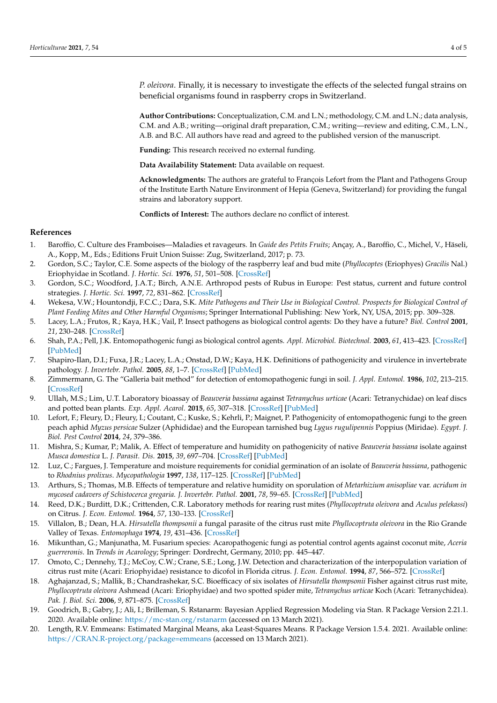*P. oleivora*. Finally, it is necessary to investigate the effects of the selected fungal strains on beneficial organisms found in raspberry crops in Switzerland.

**Author Contributions:** Conceptualization, C.M. and L.N.; methodology, C.M. and L.N.; data analysis, C.M. and A.B.; writing—original draft preparation, C.M.; writing—review and editing, C.M., L.N., A.B. and B.C. All authors have read and agreed to the published version of the manuscript.

**Funding:** This research received no external funding.

**Data Availability Statement:** Data available on request.

**Acknowledgments:** The authors are grateful to François Lefort from the Plant and Pathogens Group of the Institute Earth Nature Environment of Hepia (Geneva, Switzerland) for providing the fungal strains and laboratory support.

**Conflicts of Interest:** The authors declare no conflict of interest.

### **References**

- 1. Baroffio, C. Culture des Framboises—Maladies et ravageurs. In *Guide des Petits Fruits*; Ançay, A., Baroffio, C., Michel, V., Häseli, A., Kopp, M., Eds.; Editions Fruit Union Suisse: Zug, Switzerland, 2017; p. 73.
- 2. Gordon, S.C.; Taylor, C.E. Some aspects of the biology of the raspberry leaf and bud mite (*Phyllocoptes* (Eriophyes) *Gracilis* Nal.) Eriophyidae in Scotland. *J. Hortic. Sci.* **1976**, *51*, 501–508. [\[CrossRef\]](http://doi.org/10.1080/00221589.1976.11514719)
- 3. Gordon, S.C.; Woodford, J.A.T.; Birch, A.N.E. Arthropod pests of Rubus in Europe: Pest status, current and future control strategies. *J. Hortic. Sci.* **1997**, *72*, 831–862. [\[CrossRef\]](http://doi.org/10.1080/14620316.1997.11515577)
- 4. Wekesa, V.W.; Hountondji, F.C.C.; Dara, S.K. *Mite Pathogens and Their Use in Biological Control. Prospects for Biological Control of Plant Feeding Mites and Other Harmful Organisms*; Springer International Publishing: New York, NY, USA, 2015; pp. 309–328.
- 5. Lacey, L.A.; Frutos, R.; Kaya, H.K.; Vail, P. Insect pathogens as biological control agents: Do they have a future? *Biol. Control* **2001**, *21*, 230–248. [\[CrossRef\]](http://doi.org/10.1006/bcon.2001.0938)
- 6. Shah, P.A.; Pell, J.K. Entomopathogenic fungi as biological control agents. *Appl. Microbiol. Biotechnol.* **2003**, *61*, 413–423. [\[CrossRef\]](http://doi.org/10.1007/s00253-003-1240-8) [\[PubMed\]](http://www.ncbi.nlm.nih.gov/pubmed/12764556)
- 7. Shapiro-Ilan, D.I.; Fuxa, J.R.; Lacey, L.A.; Onstad, D.W.; Kaya, H.K. Definitions of pathogenicity and virulence in invertebrate pathology. *J. Invertebr. Pathol.* **2005**, *88*, 1–7. [\[CrossRef\]](http://doi.org/10.1016/j.jip.2004.10.003) [\[PubMed\]](http://www.ncbi.nlm.nih.gov/pubmed/15707863)
- 8. Zimmermann, G. The "Galleria bait method" for detection of entomopathogenic fungi in soil. *J. Appl. Entomol.* **1986**, *102*, 213–215. [\[CrossRef\]](http://doi.org/10.1111/j.1439-0418.1986.tb00912.x)
- 9. Ullah, M.S.; Lim, U.T. Laboratory bioassay of *Beauveria bassiana* against *Tetranychus urticae* (Acari: Tetranychidae) on leaf discs and potted bean plants. *Exp. Appl. Acarol.* **2015**, *65*, 307–318. [\[CrossRef\]](http://doi.org/10.1007/s10493-014-9871-2) [\[PubMed\]](http://www.ncbi.nlm.nih.gov/pubmed/25500970)
- 10. Lefort, F.; Fleury, D.; Fleury, I.; Coutant, C.; Kuske, S.; Kehrli, P.; Maignet, P. Pathogenicity of entomopathogenic fungi to the green peach aphid *Myzus persicae* Sulzer (Aphididae) and the European tarnished bug *Lygus rugulipennis* Poppius (Miridae). *Egypt. J. Biol. Pest Control* **2014**, *24*, 379–386.
- 11. Mishra, S.; Kumar, P.; Malik, A. Effect of temperature and humidity on pathogenicity of native *Beauveria bassiana* isolate against *Musca domestica* L. *J. Parasit. Dis.* **2015**, *39*, 697–704. [\[CrossRef\]](http://doi.org/10.1007/s12639-013-0408-0) [\[PubMed\]](http://www.ncbi.nlm.nih.gov/pubmed/26688637)
- 12. Luz, C.; Fargues, J. Temperature and moisture requirements for conidial germination of an isolate of *Beauveria bassiana*, pathogenic to *Rhodnius prolixus*. *Mycopathologia* **1997**, *138*, 117–125. [\[CrossRef\]](http://doi.org/10.1023/A:1006803812504) [\[PubMed\]](http://www.ncbi.nlm.nih.gov/pubmed/16283112)
- 13. Arthurs, S.; Thomas, M.B. Effects of temperature and relative humidity on sporulation of *Metarhizium anisopliae* var. *acridum in mycosed cadavers of Schistocerca gregaria. J. Invertebr. Pathol.* **2001**, *78*, 59–65. [\[CrossRef\]](http://doi.org/10.1006/jipa.2001.5050) [\[PubMed\]](http://www.ncbi.nlm.nih.gov/pubmed/11812107)
- 14. Reed, D.K.; Burditt, D.K.; Crittenden, C.R. Laboratory methods for rearing rust mites (*Phyllocoptruta oleivora* and *Aculus pelekassi*) on Citrus. *J. Econ. Entomol.* **1964**, *57*, 130–133. [\[CrossRef\]](http://doi.org/10.1093/jee/57.1.130)
- 15. Villalon, B.; Dean, H.A. *Hirsutella thompsonii* a fungal parasite of the citrus rust mite *Phyllocoptruta oleivora* in the Rio Grande Valley of Texas. *Entomophaga* **1974**, *19*, 431–436. [\[CrossRef\]](http://doi.org/10.1007/BF02372778)
- 16. Mikunthan, G.; Manjunatha, M. Fusarium species: Acaropathogenic fungi as potential control agents against coconut mite, *Aceria guerreronis*. In *Trends in Acarology*; Springer: Dordrecht, Germany, 2010; pp. 445–447.
- 17. Omoto, C.; Dennehy, T.J.; McCoy, C.W.; Crane, S.E.; Long, J.W. Detection and characterization of the interpopulation variation of citrus rust mite (Acari: Eriophyidae) resistance to dicofol in Florida citrus. *J. Econ. Entomol.* **1994**, *87*, 566–572. [\[CrossRef\]](http://doi.org/10.1093/jee/87.3.566)
- 18. Aghajanzad, S.; Mallik, B.; Chandrashekar, S.C. Bioefficacy of six isolates of *Hirsutella thompsonii* Fisher against citrus rust mite, *Phyllocoptruta oleivora* Ashmead (Acari: Eriophyidae) and two spotted spider mite, *Tetranychus urticae* Koch (Acari: Tetranychidea). *Pak. J. Biol. Sci.* **2006**, *9*, 871–875. [\[CrossRef\]](http://doi.org/10.3923/pjbs.2006.871.875)
- 19. Goodrich, B.; Gabry, J.; Ali, I.; Brilleman, S. Rstanarm: Bayesian Applied Regression Modeling via Stan. R Package Version 2.21.1. 2020. Available online: <https://mc-stan.org/rstanarm> (accessed on 13 March 2021).
- 20. Length, R.V. Emmeans: Estimated Marginal Means, aka Least-Squares Means. R Package Version 1.5.4. 2021. Available online: <https://CRAN.R-project.org/package=emmeans> (accessed on 13 March 2021).